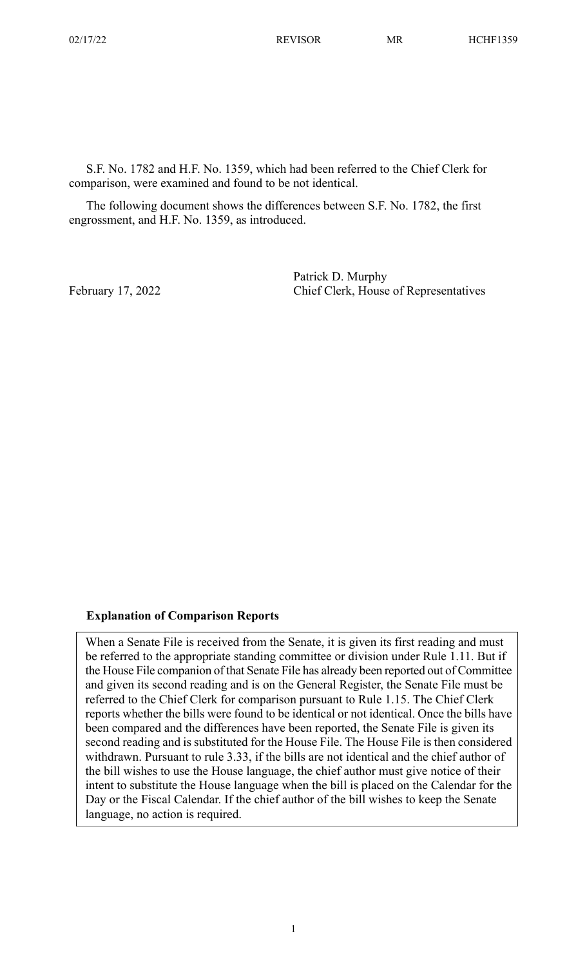S.F. No. 1782 and H.F. No. 1359, which had been referred to the Chief Clerk for comparison, were examined and found to be not identical.

The following document shows the differences between S.F. No. 1782, the first engrossment, and H.F. No. 1359, as introduced.

Patrick D. Murphy February 17, 2022 Chief Clerk, House of Representatives

## **Explanation of Comparison Reports**

When a Senate File is received from the Senate, it is given its first reading and must be referred to the appropriate standing committee or division under Rule 1.11. But if the House File companion of that Senate File has already been reported out of Committee and given its second reading and is on the General Register, the Senate File must be referred to the Chief Clerk for comparison pursuant to Rule 1.15. The Chief Clerk reports whether the bills were found to be identical or not identical. Once the bills have been compared and the differences have been reported, the Senate File is given its second reading and is substituted for the House File. The House File is then considered withdrawn. Pursuant to rule 3.33, if the bills are not identical and the chief author of the bill wishes to use the House language, the chief author must give notice of their intent to substitute the House language when the bill is placed on the Calendar for the Day or the Fiscal Calendar. If the chief author of the bill wishes to keep the Senate language, no action is required.

1